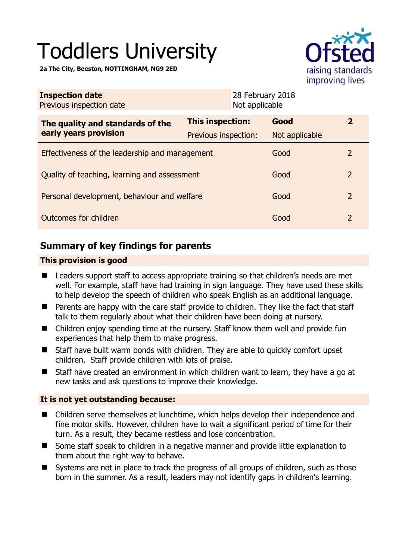# Toddlers University

**2a The City, Beeston, NOTTINGHAM, NG9 2ED** 



| <b>Inspection date</b><br>Previous inspection date |                         | 28 February 2018<br>Not applicable |                |                |
|----------------------------------------------------|-------------------------|------------------------------------|----------------|----------------|
| The quality and standards of the                   | <b>This inspection:</b> |                                    | Good           | $\mathbf{z}$   |
| early years provision                              | Previous inspection:    |                                    | Not applicable |                |
| Effectiveness of the leadership and management     |                         |                                    | Good           | $\mathcal{L}$  |
| Quality of teaching, learning and assessment       |                         |                                    | Good           | 2              |
| Personal development, behaviour and welfare        |                         |                                    | Good           | 2              |
| Outcomes for children                              |                         |                                    | Good           | $\overline{2}$ |

# **Summary of key findings for parents**

## **This provision is good**

- Leaders support staff to access appropriate training so that children's needs are met well. For example, staff have had training in sign language. They have used these skills to help develop the speech of children who speak English as an additional language.
- Parents are happy with the care staff provide to children. They like the fact that staff talk to them regularly about what their children have been doing at nursery.
- Children enjoy spending time at the nursery. Staff know them well and provide fun experiences that help them to make progress.
- Staff have built warm bonds with children. They are able to quickly comfort upset children. Staff provide children with lots of praise.
- Staff have created an environment in which children want to learn, they have a go at new tasks and ask questions to improve their knowledge.

## **It is not yet outstanding because:**

- Children serve themselves at lunchtime, which helps develop their independence and fine motor skills. However, children have to wait a significant period of time for their turn. As a result, they became restless and lose concentration.
- Some staff speak to children in a negative manner and provide little explanation to them about the right way to behave.
- Systems are not in place to track the progress of all groups of children, such as those born in the summer. As a result, leaders may not identify gaps in children's learning.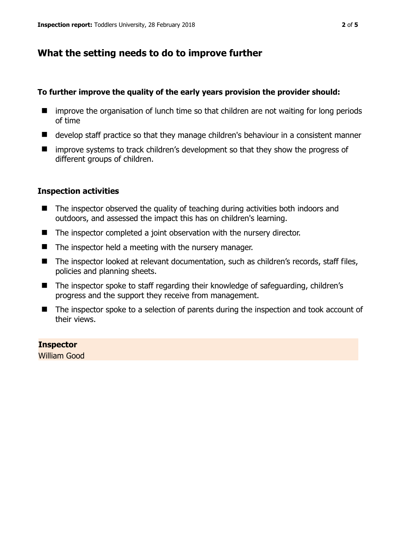# **What the setting needs to do to improve further**

## **To further improve the quality of the early years provision the provider should:**

- improve the organisation of lunch time so that children are not waiting for long periods of time
- develop staff practice so that they manage children's behaviour in a consistent manner
- improve systems to track children's development so that they show the progress of different groups of children.

## **Inspection activities**

- The inspector observed the quality of teaching during activities both indoors and outdoors, and assessed the impact this has on children's learning.
- The inspector completed a joint observation with the nursery director.
- $\blacksquare$  The inspector held a meeting with the nursery manager.
- The inspector looked at relevant documentation, such as children's records, staff files, policies and planning sheets.
- The inspector spoke to staff regarding their knowledge of safeguarding, children's progress and the support they receive from management.
- The inspector spoke to a selection of parents during the inspection and took account of their views.

## **Inspector**

William Good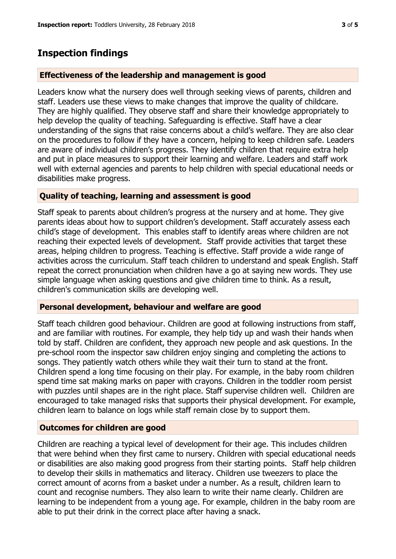## **Inspection findings**

#### **Effectiveness of the leadership and management is good**

Leaders know what the nursery does well through seeking views of parents, children and staff. Leaders use these views to make changes that improve the quality of childcare. They are highly qualified. They observe staff and share their knowledge appropriately to help develop the quality of teaching. Safeguarding is effective. Staff have a clear understanding of the signs that raise concerns about a child's welfare. They are also clear on the procedures to follow if they have a concern, helping to keep children safe. Leaders are aware of individual children's progress. They identify children that require extra help and put in place measures to support their learning and welfare. Leaders and staff work well with external agencies and parents to help children with special educational needs or disabilities make progress.

#### **Quality of teaching, learning and assessment is good**

Staff speak to parents about children's progress at the nursery and at home. They give parents ideas about how to support children's development. Staff accurately assess each child's stage of development. This enables staff to identify areas where children are not reaching their expected levels of development. Staff provide activities that target these areas, helping children to progress. Teaching is effective. Staff provide a wide range of activities across the curriculum. Staff teach children to understand and speak English. Staff repeat the correct pronunciation when children have a go at saying new words. They use simple language when asking questions and give children time to think. As a result, children's communication skills are developing well.

#### **Personal development, behaviour and welfare are good**

Staff teach children good behaviour. Children are good at following instructions from staff, and are familiar with routines. For example, they help tidy up and wash their hands when told by staff. Children are confident, they approach new people and ask questions. In the pre-school room the inspector saw children enjoy singing and completing the actions to songs. They patiently watch others while they wait their turn to stand at the front. Children spend a long time focusing on their play. For example, in the baby room children spend time sat making marks on paper with crayons. Children in the toddler room persist with puzzles until shapes are in the right place. Staff supervise children well. Children are encouraged to take managed risks that supports their physical development. For example, children learn to balance on logs while staff remain close by to support them.

#### **Outcomes for children are good**

Children are reaching a typical level of development for their age. This includes children that were behind when they first came to nursery. Children with special educational needs or disabilities are also making good progress from their starting points. Staff help children to develop their skills in mathematics and literacy. Children use tweezers to place the correct amount of acorns from a basket under a number. As a result, children learn to count and recognise numbers. They also learn to write their name clearly. Children are learning to be independent from a young age. For example, children in the baby room are able to put their drink in the correct place after having a snack.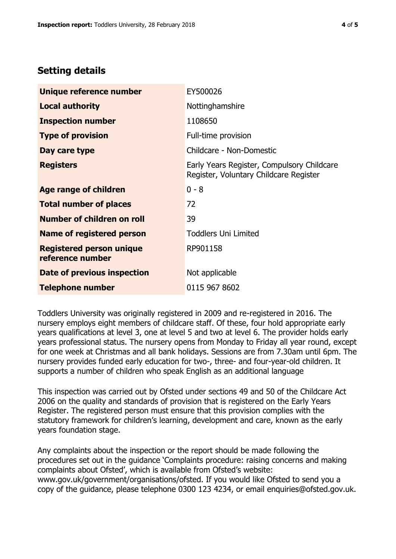# **Setting details**

| Unique reference number                             | EY500026                                                                             |  |
|-----------------------------------------------------|--------------------------------------------------------------------------------------|--|
| <b>Local authority</b>                              | Nottinghamshire                                                                      |  |
| <b>Inspection number</b>                            | 1108650                                                                              |  |
| <b>Type of provision</b>                            | Full-time provision                                                                  |  |
| Day care type                                       | Childcare - Non-Domestic                                                             |  |
| <b>Registers</b>                                    | Early Years Register, Compulsory Childcare<br>Register, Voluntary Childcare Register |  |
| Age range of children                               | $0 - 8$                                                                              |  |
| <b>Total number of places</b>                       | 72                                                                                   |  |
| Number of children on roll                          | 39                                                                                   |  |
| Name of registered person                           | <b>Toddlers Uni Limited</b>                                                          |  |
| <b>Registered person unique</b><br>reference number | RP901158                                                                             |  |
| Date of previous inspection                         | Not applicable                                                                       |  |
| <b>Telephone number</b>                             | 0115 967 8602                                                                        |  |

Toddlers University was originally registered in 2009 and re-registered in 2016. The nursery employs eight members of childcare staff. Of these, four hold appropriate early years qualifications at level 3, one at level 5 and two at level 6. The provider holds early years professional status. The nursery opens from Monday to Friday all year round, except for one week at Christmas and all bank holidays. Sessions are from 7.30am until 6pm. The nursery provides funded early education for two-, three- and four-year-old children. It supports a number of children who speak English as an additional language

This inspection was carried out by Ofsted under sections 49 and 50 of the Childcare Act 2006 on the quality and standards of provision that is registered on the Early Years Register. The registered person must ensure that this provision complies with the statutory framework for children's learning, development and care, known as the early years foundation stage.

Any complaints about the inspection or the report should be made following the procedures set out in the guidance 'Complaints procedure: raising concerns and making complaints about Ofsted', which is available from Ofsted's website: www.gov.uk/government/organisations/ofsted. If you would like Ofsted to send you a copy of the guidance, please telephone 0300 123 4234, or email enquiries@ofsted.gov.uk.